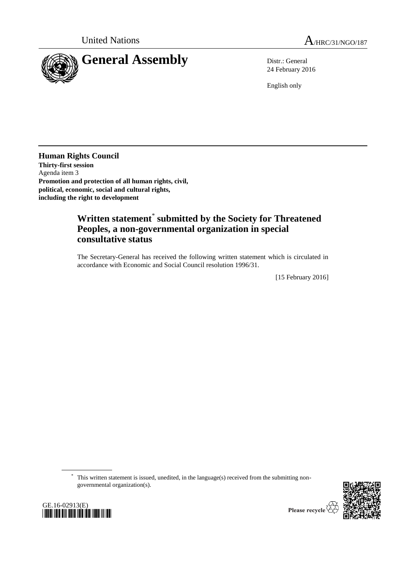

24 February 2016

English only

**Human Rights Council Thirty-first session** Agenda item 3 **Promotion and protection of all human rights, civil, political, economic, social and cultural rights, including the right to development**

## **Written statement**\* **submitted by the Society for Threatened Peoples, a non-governmental organization in special consultative status**

The Secretary-General has received the following written statement which is circulated in accordance with Economic and Social Council resolution 1996/31.

[15 February 2016]

\* This written statement is issued, unedited, in the language(s) received from the submitting nongovernmental organization(s).





Please recycle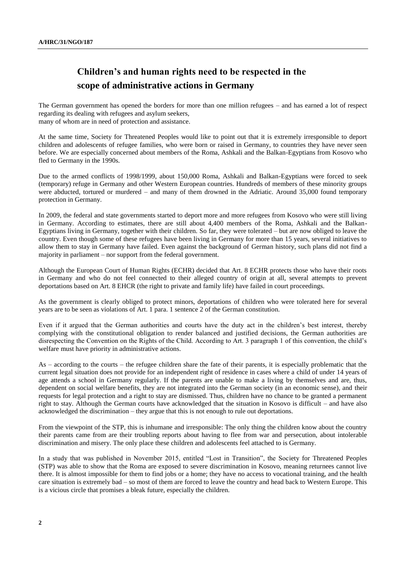## **Children's and human rights need to be respected in the scope of administrative actions in Germany**

The German government has opened the borders for more than one million refugees – and has earned a lot of respect regarding its dealing with refugees and asylum seekers, many of whom are in need of protection and assistance.

At the same time, Society for Threatened Peoples would like to point out that it is extremely irresponsible to deport children and adolescents of refugee families, who were born or raised in Germany, to countries they have never seen before. We are especially concerned about members of the Roma, Ashkali and the Balkan-Egyptians from Kosovo who fled to Germany in the 1990s.

Due to the armed conflicts of 1998/1999, about 150,000 Roma, Ashkali and Balkan-Egyptians were forced to seek (temporary) refuge in Germany and other Western European countries. Hundreds of members of these minority groups were abducted, tortured or murdered – and many of them drowned in the Adriatic. Around 35,000 found temporary protection in Germany.

In 2009, the federal and state governments started to deport more and more refugees from Kosovo who were still living in Germany. According to estimates, there are still about 4,400 members of the Roma, Ashkali and the Balkan-Egyptians living in Germany, together with their children. So far, they were tolerated – but are now obliged to leave the country. Even though some of these refugees have been living in Germany for more than 15 years, several initiatives to allow them to stay in Germany have failed. Even against the background of German history, such plans did not find a majority in parliament – nor support from the federal government.

Although the European Court of Human Rights (ECHR) decided that Art. 8 ECHR protects those who have their roots in Germany and who do not feel connected to their alleged country of origin at all, several attempts to prevent deportations based on Art. 8 EHCR (the right to private and family life) have failed in court proceedings.

As the government is clearly obliged to protect minors, deportations of children who were tolerated here for several years are to be seen as violations of Art. 1 para. 1 sentence 2 of the German constitution.

Even if it argued that the German authorities and courts have the duty act in the children's best interest, thereby complying with the constitutional obligation to render balanced and justified decisions, the German authorities are disrespecting the Convention on the Rights of the Child. According to Art. 3 paragraph 1 of this convention, the child's welfare must have priority in administrative actions.

As – according to the courts – the refugee children share the fate of their parents, it is especially problematic that the current legal situation does not provide for an independent right of residence in cases where a child of under 14 years of age attends a school in Germany regularly. If the parents are unable to make a living by themselves and are, thus, dependent on social welfare benefits, they are not integrated into the German society (in an economic sense), and their requests for legal protection and a right to stay are dismissed. Thus, children have no chance to be granted a permanent right to stay. Although the German courts have acknowledged that the situation in Kosovo is difficult – and have also acknowledged the discrimination – they argue that this is not enough to rule out deportations.

From the viewpoint of the STP, this is inhumane and irresponsible: The only thing the children know about the country their parents came from are their troubling reports about having to flee from war and persecution, about intolerable discrimination and misery. The only place these children and adolescents feel attached to is Germany.

In a study that was published in November 2015, entitled "Lost in Transition", the Society for Threatened Peoples (STP) was able to show that the Roma are exposed to severe discrimination in Kosovo, meaning returnees cannot live there. It is almost impossible for them to find jobs or a home; they have no access to vocational training, and the health care situation is extremely bad – so most of them are forced to leave the country and head back to Western Europe. This is a vicious circle that promises a bleak future, especially the children.